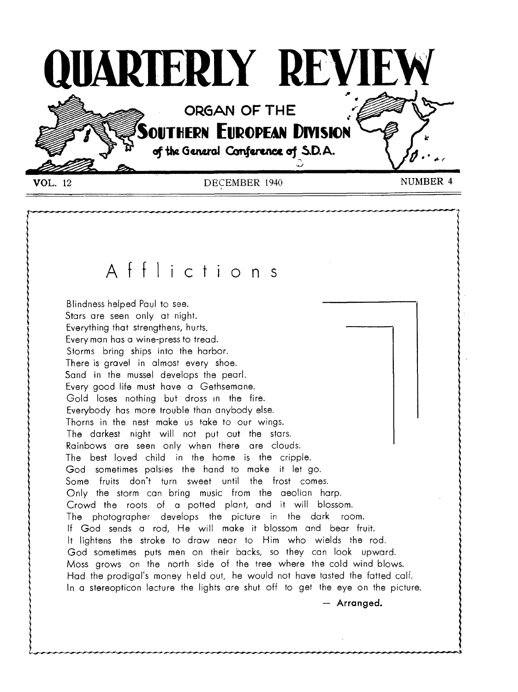

## Afflictions

Blindness helped Paul to see. Stars are seen only at night. Everything that strengthens, hurts. Every man has a wine-press to tread. Storms bring ships into the harbor. There is gravel in almost every shoe. Sand in the mussel develops the pearl. Every good life must have a Gethsemane. Gold loses nothing but dross in the fire. Everybody has more trouble than anybody else. Thorns in the nest make us take to our wings. The darkest night will not put out the stars. Rainbows are seen only when there are clouds. The best loved child in the home is the cripple. God sometimes palsies the hand to make it let go. Some fruits don't turn sweet until the frost comes. Only the storm can bring music from the aeolian harp. Crowd the roots of a potted plant, and it will blossom. The photographer develops the picture in the dark room. If God sends a rod, He will make it blossom and bear fruit. It lightens the stroke to draw near to Him who wields the rod. God sometimes puts men on their backs, so they can look upward. Moss grows on the north side of the tree where the cold wind blows. Had the prodigal's money held out, he would not have tasted the fatted calf. In a stereopticon lecture the lights are shut off to get the eye on the picture.

— Arranged.

••••••••••••••10,11.,,.............•••••••••••.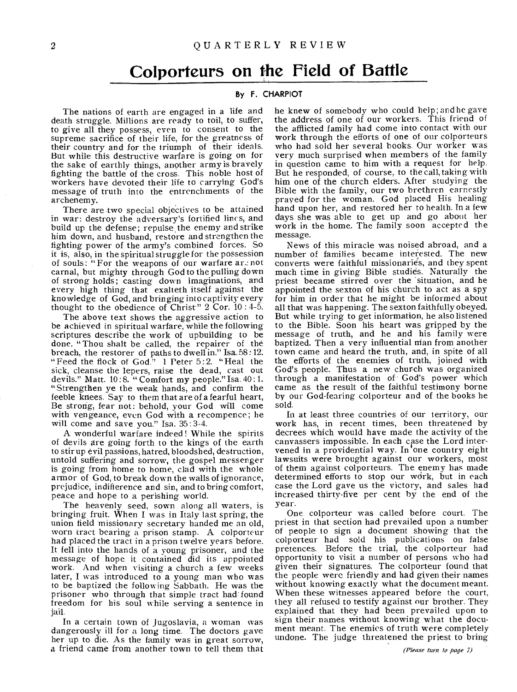## **Colporteurs on the Field of Battle**

#### **By F. CHARPIOT**

The nations of earth are engaged in a life and death struggle. Millions are ready to toil, to suffer, to give all they possess, even to consent to the supreme sacrifice of their life, for the greatness of their country and for the triumph of their ideals. But while this destructive warfare is going on for the sake of earthly things, another army is bravely fighting the battle of the cross. This noble host of workers have devoted their life to carrying God's message of truth into the entrenchments of the archenemy.

There are two special objectives to be attained in war: destroy the adversary's fortified lines, and build up the defense; repulse the enemy and strike him down, and husband, restore and strengthen the fighting power of the army's combined forces. So it is, also, in the spiritual struggle for the possession of souls: "For the weapons of our warfare are not carnal, but mighty through God to the pulling down of strong holds; casting down imaginations, and every high thing that exalteth itself against the knowledge of God, and bringing into captivity every thought to the obedience of Christ" 2 Cor. 10 : 4-5.

The above text shows the aggressive action to be achieved in spiritual warfare, while the following scriptures describe the work of upbuilding to be done. "Thou shalt be called, the repairer of the breach, the restorer of paths to dwell in." Isa. 58: 12. "Feed the flock of God." 1 Peter 5:2. "Heal the sick, cleanse the lepers, raise the dead, cast out devils." Matt. 10:8. "Comfort my people." Isa. 40:1. "Strengthen ye the weak hands, and confirm the feeble knees. Say to them that are of a fearful heart, Be strong, fear not: behold, your God will come with vengeance, even God with a recompence; he will come and save you." Isa. 35:3-4.

A wonderful warfare indeed ! While the spirits of devils are going forth to the kings of the earth to stir up evil passions, hatred, bloodshed, destruction, untold suffering and sorrow, the gospel messenger is going from home to home, clad with the whole armor of God, to break down the walls of ignorance, prejudice, indifference and sin, and to bring comfort, peace and hope to a perishing world.

The heavenly seed, sown along all waters, is bringing fruit. When I was in Italy last spring, the union field missionary secretary handed me an old, worn tract bearing a prison stamp. A colporteur had placed the tract in a prison twelve years before. It fell into the hands of a young prisoner, and the message of hope it contained did its appointed work. And when visiting a church a few weeks later, I was introduced to a young man who was to be baptized the following Sabbath. He was the prisoner who through that simple tract had found freedom for his soul while serving a sentence in jail.

In a certain town of Jugoslavia, a woman was dangerously ill for a long time. The doctors gave her up to die. As the family was in great sorrow, a friend came from another town to tell them that he knew of somebody who could help; and he gave the address of one of our workers. This friend of the afflicted family had come into contact with our work through the efforts of one of our colporteurs who had sold her several books. Our worker was very much surprised when members of the family in question came to him with a request for help. But he responded, of course, to the call,taking with him one of the church elders. After studying the Bible with the family, our two brethren earnestly prayed for the woman. God placed His healing hand upon her, and restored her to health. In a few days she was able to get up and go about her work in the home. The family soon accepted the message.

News of this miracle was noised abroad, and a number of families became interested. The new converts were faithful missionaries, and they spent much time in giving Bible studies. Naturally the priest became stirred over the "situation, and he appointed the sexton of his church to act as a spy for him in order that he might be informed about all that was happening. The sexton faithfully obeyed, But while trying to get information, he also listened to the Bible. Soon his heart was gripped by the message of truth, and he and his family were baptized. Then a very influential nian from another town came and heard the truth, and, in spite of all the efforts of the enemies of truth, joined with God's people. Thus a new church was organized through a manifestation of God's power which came as the result of the faithful testimony borne by our God-fearing colporteur and of the books he sold.

In at least three countries of our territory, our work has, in recent times, been threatened by decrees which would have made the activity of the canvassers impossible. In each case the Lord intervened in a providential way. In one country eight lawsuits were brought against our workers, most of them against colporteurs. The enemy has made determined efforts to stop our work, but in each case the Lord gave us the victory, and sales had increased thirty-five per cent by the end of the year.

One colporteur was called before court. The priest in that section had prevailed upon a number of people to sign a document showing that the colporteur had sold his publications on false pretences. Before the trial, the colporteur had opportunity to visit a number of persons who had given their signatures. The colporteur found that the people were friendly and had given their names without knowing exactly what the document meant. When these witnesses appeared before the court, they all refused to testify against our brother. They explained that they had been prevailed upon to sign their names without knowing what the document meant. The enemies of truth were completely undone. The judge threatened the priest to bring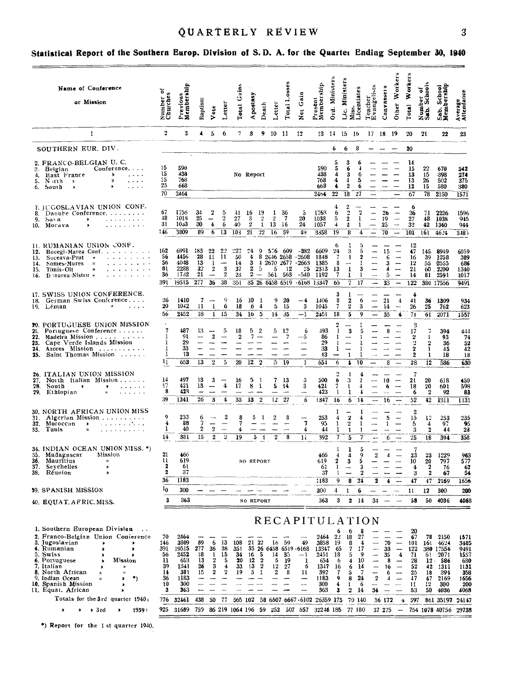## QUARTERLY REVIEW

## Statistical Report of the Southern Europ. Division of S.D. A. for the Quarter Ending September 30, 1940

| Name of Conference<br>or Mission                                                                                                                                                                                                                                                                                                 | ৳<br>Number of<br>Churches                               | Previous<br>Memberahip                                                    | Baptism                                              | Vote                                                                 | Letter                                                                   | Total Gains                         | Apostasy                                       | Death                                                | Letter                                            | Total Losses                               | Gain<br>Net                                                                                                  | Present<br>Membership                                                     | Ord. Ministers                                                     | Ministers<br>ن<br>تا                                                     | Licentiates<br>Miss.                                 | Teacher<br>Evangelists                                                                                  | Canvassers                          | orkers<br>Other W                                                                          | orkers<br>Total W                                                  | Number of<br>Sab. Schools                                             | Sab. School<br>Membership                                                   | Average<br>Attendance                                                     |
|----------------------------------------------------------------------------------------------------------------------------------------------------------------------------------------------------------------------------------------------------------------------------------------------------------------------------------|----------------------------------------------------------|---------------------------------------------------------------------------|------------------------------------------------------|----------------------------------------------------------------------|--------------------------------------------------------------------------|-------------------------------------|------------------------------------------------|------------------------------------------------------|---------------------------------------------------|--------------------------------------------|--------------------------------------------------------------------------------------------------------------|---------------------------------------------------------------------------|--------------------------------------------------------------------|--------------------------------------------------------------------------|------------------------------------------------------|---------------------------------------------------------------------------------------------------------|-------------------------------------|--------------------------------------------------------------------------------------------|--------------------------------------------------------------------|-----------------------------------------------------------------------|-----------------------------------------------------------------------------|---------------------------------------------------------------------------|
| $\mathbf{1}$                                                                                                                                                                                                                                                                                                                     | $\mathbf{2}$                                             | 3                                                                         | 4.                                                   | $5\overline{ }$                                                      | 6                                                                        | 7.                                  | 8                                              |                                                      | 9 10 11                                           |                                            | 12                                                                                                           |                                                                           | 13 14 15 16                                                        |                                                                          |                                                      | 17 18 19                                                                                                |                                     |                                                                                            | 20                                                                 | 21                                                                    | 22                                                                          | 23                                                                        |
| SOUTHERN EUR. DIV.                                                                                                                                                                                                                                                                                                               |                                                          |                                                                           |                                                      |                                                                      |                                                                          |                                     |                                                |                                                      |                                                   |                                            |                                                                                                              |                                                                           | 6                                                                  | 6                                                                        | 8                                                    |                                                                                                         |                                     |                                                                                            | 20                                                                 |                                                                       |                                                                             |                                                                           |
| 2. FRANCO-BELGIAN U. C.<br>$Conference. \ldots$<br>3. Belgian<br>$\,$<br>4. East France<br>$\sim$ $\sim$ $\sim$ $\sim$<br>$\mathbf{z}$<br>5. N∍rth<br>$\cdots$<br>- 20<br>,<br>6. South<br>$\sim$ $\sim$ $\sim$<br>$\pmb{\cdot}$                                                                                                 | 15<br>15<br>15<br>25<br>$\overline{70}$                  | 590<br>438<br>768<br>668<br>2464                                          |                                                      |                                                                      |                                                                          | No Report                           |                                                |                                                      |                                                   |                                            |                                                                                                              | 590<br>438<br>768<br>668<br>2404                                          | 5<br>4<br>4<br>4<br>22                                             | 6<br>3<br>$\overline{4}$<br>$\boldsymbol{2}$<br>18                       | b<br>6<br>5<br>6<br>27                               |                                                                                                         |                                     | $\overline{\phantom{0}}$                                                                   | 14<br>15<br>13<br>13<br>12<br>67                                   | 22<br>15<br>26<br>15<br>$\overline{78}$                               | 670<br>-398<br>502<br>580<br>2150                                           | 542<br>274<br>375<br>380<br>1571                                          |
| 7. IUGOSLAVIAN UNION CONF.<br>8. Danue Conference.<br>9.<br>Sava<br>$\blacktriangleright$<br>متحاجب والمتواطئين<br>10. Morava<br>×<br>متحاجب والمتواوي                                                                                                                                                                           | 67<br>48<br>31<br>146                                    | 1758<br>1018<br>10 <sub>5</sub> 3<br>3809                                 | 34<br>25<br>30<br>89                                 | $\mathbf 2$<br>4<br>6                                                | 5<br>$\,2$<br>6<br>13                                                    | 41<br>27<br>40<br>103               | 16<br>3<br>$\boldsymbol{2}$<br>21              | - 19<br>2<br>$\overline{22}$                         | 1<br>$\overline{2}$<br>$1 \t13 \t16$<br>$16 - 59$ | 36<br>$\mathbf{r}$                         | 5<br>20<br>24<br>49                                                                                          | 1763<br>1038<br>1057<br>3358                                              | 6<br>5<br>4<br>19                                                  | $\mathfrak{D}$<br>$\boldsymbol{2}$<br>$\boldsymbol{2}$<br>8              | 2<br>1<br>$\mathbf{1}$<br>4                          | $\overline{\phantom{a}}$<br>$\sim$<br>$\overline{\phantom{a}}$                                          | 26<br>19<br>25<br>70                | $\overline{\phantom{m}}$<br>$\overline{\phantom{m}}$<br>$\sim$<br>$\overline{\phantom{a}}$ | 6<br>36<br>27<br>32<br>101                                         | 71<br>48<br>42 <sub>2</sub><br>161                                    | 2226<br>1038<br>1360<br>46.4                                                | 1596<br>945<br>944<br>3485                                                |
| 11. RUMANIAN UNION CONF.<br>12. Bucegi-Marea Conf.<br>Suceava-Prut<br>and a series of the<br>13.<br>14. Somes-Mures<br>n<br>Timis-Olt<br>15.<br><b>&gt;&gt;</b><br>16. <b>D</b> inarea-Nistru $\boldsymbol{\nu}$<br>and a straight and                                                                                           | 162<br>56<br>56<br>81<br>36<br>391                       | 6991<br>4456<br>4048<br>2288<br>1732<br>19515                             | 183<br>28<br>13<br>32<br>$21\,$<br>277               | 22<br>11<br>-1<br>$\boldsymbol{2}$<br>$\overline{\phantom{m}}$<br>36 | 22<br>11<br>$\overline{\phantom{a}}$<br>$\bf{3}$<br>$\,2\,$<br>38        | 227<br>50<br>14<br>37<br>23<br>35 l | $^{\circ4}$<br>4<br>3<br>$\mathbf{2}$<br>$2 -$ | -9<br>$\overline{1}$<br>-5                           | 576 609<br>5<br>561 563                           | $_{12}$<br>35 26 6458 6519                 | $-382$<br>8 2646 2658 -2608<br>2670 2677 - 2663<br>25<br>$-540$<br>$-6108$                                   | 6609<br>1848<br>1385<br>2313<br>1192<br>13347                             | 6<br>24<br>$\overline{7}$<br>8<br>13<br>-7<br>65                   | 3<br>1<br>$\cdots$<br>$\mathbf{I}$<br>1<br>7                             | õ<br>$\boldsymbol{2}$<br>-1<br>3<br>1<br>17          | $\overline{\phantom{a}}$                                                                                | 15<br>6<br>3<br>4<br>5<br>33        | -<br>—<br>--<br>$\overline{\phantom{0}}$                                                   | 12<br>47<br>16<br>$12\,$<br>21<br>14<br>122                        | - 145<br>39<br>55<br>60.<br>81                                        | 8949<br>1258<br>-2555<br>2200<br>2594<br>380 17556                          | 6059<br>389<br>686<br>1340<br>1017<br>9491                                |
| 17. SWISS UNION CONFERENCE.<br>18. German Swiss Conference<br>19. Léman<br>$\boldsymbol{\mathcal{Y}}$<br>$\sim$ $\sim$ $\sim$                                                                                                                                                                                                    | 36<br>20<br>56                                           | 1410<br>1042<br>2452                                                      | -7<br>11<br>18                                       | 1                                                                    | 9<br>6<br>$\overline{1}$ 15                                              | 16<br>18<br>34                      | 10<br>6<br>16 <sub>5</sub>                     | - 1<br>-4                                            | 9<br>5.<br>14                                     | 20<br>15<br>35                             | $-4$<br>3<br>-- 1                                                                                            | 1406<br>1045<br>2451                                                      | 3<br>8<br>7<br>18                                                  | $\overline{\mathbf{2}}$<br>$\mathbf 2$                                   | 6<br>3<br>9                                          | $\overline{\phantom{0}}$<br>÷                                                                           | 21<br>14<br>35                      | 4<br>$\overline{\phantom{a}}$<br>$\clubsuit$                                               | 4<br>41<br>26<br>$\overline{71}$                                   | 36<br>25<br>61                                                        | 1309<br>762<br>2071                                                         | 934<br>623<br>1557                                                        |
| 20. PORTUGUESE UNION MISSION<br>21. Portuguese Conference<br>22. Madeira Mission<br>23. Cape Verde Islands Mission<br>24. Azores Mission<br>25. Saint Thomas Mission                                                                                                                                                             | $\overline{7}$<br>1<br>1<br>1<br>1<br>'n                 | 487<br>91<br>29<br>33<br>13<br>653                                        | 13<br>13                                             | $\overline{2}$<br>$\overline{2}$                                     | 5<br>$\overline{5}$                                                      | 18<br>$\boldsymbol{2}$<br>20        | 5<br>7<br>12 <sub>2</sub>                      | -2                                                   | 5<br>5.                                           | 12<br>7<br>$\overline{\phantom{0}}$<br>-19 | 6<br>---5<br>----<br>-<br>$\overline{\phantom{0}}$<br>$\mathbf{1}$                                           | 193<br>86<br>29<br>33<br>13<br>654                                        | 1<br>1<br>-1<br>-1<br>--<br>6                                      | 3<br>$\overline{\phantom{m}}$<br>$\mathbf{1}$<br>$\overline{\mathbf{4}}$ | 5<br>1<br>1<br>ı<br>10                               |                                                                                                         | 8<br>8                              | $\sim$                                                                                     | 3<br>17<br>$\mathbf{z}$<br>2<br>2<br>$\overline{\mathbf{2}}$<br>28 | 7<br>1<br>$\overline{\mathbf{2}}$<br>1<br>1<br>$\overline{12}$        | 394<br>93<br>36<br>45<br>18<br>586                                          | 444<br>74<br>52<br>42<br>18<br>630                                        |
| 26. ITALIAN UNION MISSION<br>27. North Italian Mission<br>28. South<br>$\mathbf{1}$ , and $\mathbf{1}$ , and $\mathbf{1}$<br>$\rightarrow$<br>$\rightarrow$<br>29. Ethiopian<br>n<br>.                                                                                                                                           | 14<br>17<br>8<br>39                                      | 497<br>421<br>423<br>1341                                                 | 13<br>13<br>26                                       | 3<br>3                                                               | $\overline{\phantom{a}}$<br>4<br>4                                       | 16<br>17<br>33                      | 5<br>8<br>132                                  | ा<br>$\mathbf{I}$                                    | 7<br>5<br>12.                                     | -13<br>14<br>$\sim$<br>27                  | 3<br>3<br>$\sim$<br>$\overline{6}$                                                                           | 500<br>424<br>423<br>1347                                                 | 6<br>7<br>1<br>16                                                  | 3<br>í.<br>1<br>6                                                        | 2<br>4<br>4<br>14                                    | $\overline{a}$                                                                                          | 10<br>6<br>16                       | -                                                                                          | $\overline{\mathbf{r}}$<br>21<br>18<br>6<br>52                     | 20<br>20<br>$\boldsymbol{2}$<br>42                                    | 618<br>601<br>92<br>1311                                                    | 450<br>598<br>83<br>1131                                                  |
| 30. NORTH AFRICAN UNION MISS<br>31. Algerian Mission<br>32.<br>Moroccan<br>and a state of the state<br>$\bullet$<br>33.<br>Tunis<br>$\mathbf{1} \cdot \mathbf{1} \cdot \mathbf{1} \cdot \mathbf{1} \cdot \mathbf{1} \cdot \mathbf{1} \cdot \mathbf{1} \cdot \mathbf{1} \cdot \mathbf{1} \cdot \mathbf{1} \cdot \mathbf{1}$<br>Y) | 9<br>4<br>1<br>14                                        | 253<br>88<br>40<br>381                                                    | 6<br>7<br>$\boldsymbol{2}$<br>15                     | $\overline{\phantom{0}}$<br>$\boldsymbol{2}$<br>$\bar{2}$            | $\boldsymbol{2}$<br>$\overline{\phantom{m}}$<br>$\sim$<br>$\overline{2}$ | 8<br>7<br>4<br>19                   | 5                                              | $\mathbf{I}$<br>$5-1$                                | $\boldsymbol{2}$<br>$\boldsymbol{2}$              | 8<br>$\sim$<br>8                           | 7<br>4<br>11                                                                                                 | 253<br>95<br>44<br>392                                                    | 4<br>1<br>1<br>7                                                   | $\boldsymbol{2}$<br>2<br>$\mathbf{1}$<br>5                               | 1<br>4<br>1<br>1<br>7                                | <br>$\equiv$                                                                                            | 5<br>$\mathbf{1}$<br>6              | $\equiv$                                                                                   | $\boldsymbol{2}$<br>15<br>5<br>3<br>25                             | 12<br>4<br>$\overline{2}$<br>18                                       | 253<br>97<br>44<br>394                                                      | 235<br>95<br>28<br>358                                                    |
| 34. INDIAN OCEAN UNION MISS. *)<br>35. Madagascar<br>Mission<br>36. Mauritius<br>$\mathcal{D}$<br>37. Sevchelles<br>»<br>38. Réunion<br>$\boldsymbol{\lambda}$                                                                                                                                                                   | 21<br>u<br>2<br>2<br>36                                  | 466<br>619<br>6 L<br>37<br>1183                                           |                                                      |                                                                      |                                                                          |                                     | NO REPORT                                      |                                                      |                                                   |                                            |                                                                                                              | 466<br>619<br>61<br>37<br>:183                                            | 4<br>$\boldsymbol{2}$<br>-1<br>9                                   | 4<br>3<br>$\overline{\phantom{a}}$<br>8                                  | 5<br>9<br>5<br>3<br>2<br>24                          | 2<br>2                                                                                                  | 4<br>4                              | $\overline{\phantom{a}}$                                                                   | 7<br>23<br>10<br>4<br>3<br>47                                      | 23<br>20<br>$\overline{\mathbf{2}}$<br>$\overline{2}$<br>$47^{\circ}$ | 1229<br>797<br>76<br>67<br>2169                                             | 963<br>577<br>62<br>54<br>1656                                            |
| 39. SPANISH MISSION                                                                                                                                                                                                                                                                                                              | $^{10}$                                                  | 300                                                                       |                                                      |                                                                      |                                                                          |                                     |                                                |                                                      |                                                   |                                            |                                                                                                              | 300                                                                       | 4                                                                  | 1                                                                        | 6                                                    |                                                                                                         |                                     |                                                                                            | 11                                                                 | 12                                                                    | 300                                                                         | 200                                                                       |
| 40. EQUAT. AFRIC. MISS.                                                                                                                                                                                                                                                                                                          | 3                                                        | 363                                                                       |                                                      |                                                                      |                                                                          |                                     | <b>NO REPORT</b>                               |                                                      |                                                   |                                            |                                                                                                              | 363                                                                       | 3                                                                  |                                                                          | 214                                                  | 34                                                                                                      |                                     |                                                                                            | 53                                                                 |                                                                       | 50 4036                                                                     | 4068                                                                      |
| 1. Southern European Divislen<br>2. Franco-Belgian Union Conference<br>3. Jugoslavian<br>э<br>4. Rumanian<br>,<br>5. Swiss<br>×<br>6. Portuguese<br>Mission<br>7. Italian<br>n<br>8. North African<br>$\mathcal{V}$<br>9. Indian Ocean<br>*)<br>$\mathcal{V}$<br>10. Spanish Mission<br>×<br>11. Equat. African<br>Ď             | 70<br>146<br>391<br>56<br>n<br>39<br>14<br>36<br>10<br>3 | 2464<br>3809<br>19515<br>2452<br>653<br>1341<br>381<br>1183<br>300<br>363 | 89<br>277<br>18<br>13<br>26<br>15<br>---<br><b>.</b> | 6<br>36<br>1<br>2<br>3<br>$\boldsymbol{2}$                           | 13<br>38<br>15<br>5<br>4<br>$\boldsymbol{2}$<br>---                      | 108<br>351<br>34<br>20<br>33<br>19  | 21<br>16<br>12<br>13<br>5                      | 22<br>5<br>$\boldsymbol{2}$<br>$\boldsymbol{2}$<br>1 | 16<br>14<br>õ<br>12<br>2                          | 59<br>35<br>-19<br>27<br>8                 | RECAPITULATION<br>49<br>35 26 6458 6519-6168<br>-- 1<br>1<br>6<br>11<br>—<br>---<br>$\overline{\phantom{0}}$ | 2464<br>3858<br>13347<br>2451<br>654<br>1347<br>392<br>1183<br>300<br>363 | 6<br>2.2<br>- 19<br>- 65<br>18<br>6<br>16<br>$\tau$<br>9<br>4<br>3 | 6<br>18<br>8<br>7<br>5<br>4<br>6<br>5<br>8<br>1<br>2                     | 27<br>4<br>17<br>9<br>10<br>14<br>7<br>24<br>6<br>14 | $\sim$<br>-----<br>--<br>$\overline{\phantom{0}}$<br>$\boldsymbol{2}$<br>$\overline{\phantom{0}}$<br>34 | 70<br>33<br>35<br>8<br>16<br>6<br>4 | $\overline{\phantom{m}}$<br>$\overline{\phantom{a}}$<br>$\ddot{\phantom{1}}$<br>--         | 20<br>67<br>101<br>122<br>71<br>28<br>52<br>25<br>47<br>11<br>53   | 78<br>161<br>380<br>61<br>12<br>42<br>18<br>47<br>$12^{\circ}$<br>50  | 2150<br>4624<br>17556<br>2071<br>-586<br>1311<br>394<br>2169<br>300<br>4036 | 1571<br>3485<br>9491<br>1557<br>630<br>1131<br>358<br>1656<br>200<br>4068 |
| Totals for the 3rd quarter 1940:<br>$\rightarrow$ 3rd<br>1939:<br>$\blacktriangleright$                                                                                                                                                                                                                                          | 776<br>925                                               | 32461<br>31689                                                            | 438<br>759                                           | 50                                                                   | 77                                                                       | 565 102                             |                                                |                                                      |                                                   |                                            | 58 6507 6667-6102 26359 175<br>86 219 1064 196 59 252 507 557 32246 185 77 180                               |                                                                           |                                                                    |                                                                          | 79 140                                               |                                                                                                         | 36 172<br>37 275                    | 4<br>÷                                                                                     | 597                                                                |                                                                       | 861 35197<br>754 1078 40756 29738                                           | 24147                                                                     |

\*) Report for the 1 st quarter 1940.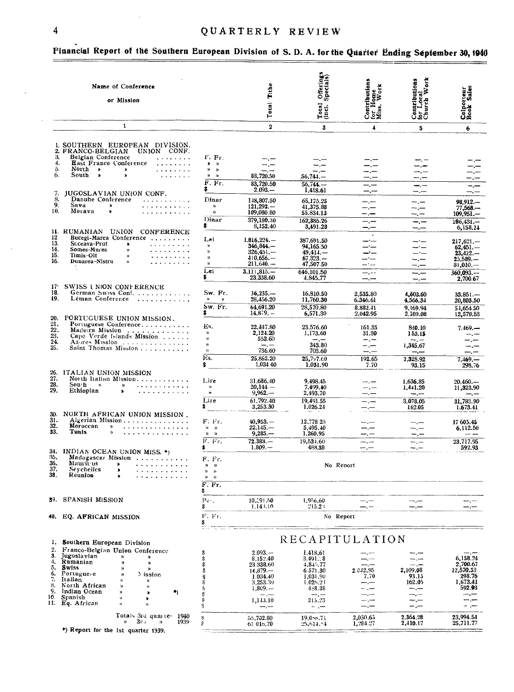| 4                                                                                                                                                                                                                                                                                                                                                                                                                                                                                                                                                                          |                                                                                                                                                                                                                                                 |                                                                                                                                                                                                                               | QUARTERLY REVIEW                                                                                                                                                                                   |                                              |  |  |  |  |  |  |  |
|----------------------------------------------------------------------------------------------------------------------------------------------------------------------------------------------------------------------------------------------------------------------------------------------------------------------------------------------------------------------------------------------------------------------------------------------------------------------------------------------------------------------------------------------------------------------------|-------------------------------------------------------------------------------------------------------------------------------------------------------------------------------------------------------------------------------------------------|-------------------------------------------------------------------------------------------------------------------------------------------------------------------------------------------------------------------------------|----------------------------------------------------------------------------------------------------------------------------------------------------------------------------------------------------|----------------------------------------------|--|--|--|--|--|--|--|
| Financial Report of the Southern European Division of S. D. A. for the Quarter                                                                                                                                                                                                                                                                                                                                                                                                                                                                                             |                                                                                                                                                                                                                                                 |                                                                                                                                                                                                                               |                                                                                                                                                                                                    |                                              |  |  |  |  |  |  |  |
| Name of Conference<br>or Mission                                                                                                                                                                                                                                                                                                                                                                                                                                                                                                                                           |                                                                                                                                                                                                                                                 | Total Tithe                                                                                                                                                                                                                   | Offerings<br>Specials)<br>Total<br>(incl.)                                                                                                                                                         | Contributions<br>for Home<br>Miss. Work      |  |  |  |  |  |  |  |
| 1                                                                                                                                                                                                                                                                                                                                                                                                                                                                                                                                                                          |                                                                                                                                                                                                                                                 | $\overline{2}$                                                                                                                                                                                                                | 3                                                                                                                                                                                                  | 4                                            |  |  |  |  |  |  |  |
| 1. SOUTHERN EUROPEAN DIVISION.<br>2. FRANCO-BELGIAN<br><b>UNION</b><br>CONF.<br>3.<br>Belgian Conference<br>4.<br><b>East France Conference</b><br>5.<br>North<br>$\blacksquare$<br>$\bullet$<br>South<br>6.<br>$\bullet$<br>$\bullet$<br>7.<br>JUGOSLAVIAN UNION CONF.<br>8.<br>Danube Conference<br>9.<br>Sava<br>×<br>10.<br>Morava<br>×<br>11.<br>RUMANIAN<br>UNION<br><b>CONFERENCE</b><br>12<br>Bucegi-Marea Conference<br>13.<br>Suceava-Prut<br>$\bullet$<br>14.<br>Somes-Mures<br>$\mathbf{v}$<br>15.<br>Timis-Olt<br>y)<br>16.<br>Dunarea-Nistru<br>$\mathbf{v}$ | F. Fr.<br>,<br>$\rightarrow$<br>y)<br>$\mathbf{a}$<br>$\mathbf{v}$<br>$\boldsymbol{\mathcal{W}}$<br>F. Fr.<br>S<br>Dinar<br>$\lambda$<br>$\mathcal{V}$<br>Dinar<br>\$<br>Lei<br>$\mathbf{v}$<br>$\mathbf{v}$<br>$\mathbf{v}$<br>ν,<br>Lei<br>\$ | -- -<br>83,720.50<br>83,720.50<br>$2.093 -$<br>148,807.50<br>$121.292 -$<br>109,080.80<br>379.180.30<br>8,152.40<br>$1.816,224. -$<br><b>346.844.—</b><br>$326.451-$<br>$410.656 -$<br>211,640.<br>$3,111,815,-$<br>23.338.60 | 56,741. —<br>$56.744 -$<br>I.418.61<br>65.175.25<br>41.375.88<br>55.834.13<br>162,385,26<br>3,491.28<br>387.691.50<br>94,165.50<br>$49,411-$<br>$67,323, -$<br>47,507.50<br>646,101.50<br>4.845.77 | -.-<br>-.—<br><br>$-$ . – –<br>–.–           |  |  |  |  |  |  |  |
| 17 <sup>°</sup><br><b>SWISS I NION CONFERENCE</b><br>18.<br>German Swiss Conf.<br>19.<br>Léman Conference<br>20.<br>PORTUGUESE UNION MISSION.                                                                                                                                                                                                                                                                                                                                                                                                                              | Sw. Fr.<br>$\mathbf{v}$<br>$\mathbf{v}$<br>Sw. Fr.<br>\$                                                                                                                                                                                        | $36,235-$<br>28,456.20<br>64,691.20<br>$14.879. -$                                                                                                                                                                            | 16,810.50<br>11,760.30<br>28,570.80<br>6,571.30                                                                                                                                                    | 2.535.80<br>6.346.61<br>8.882.41<br>2.042.95 |  |  |  |  |  |  |  |
| 21.<br>Portuguese Conference<br>22.<br>Madeira Mission<br>23.<br>Cape Verde Islands Mission<br>24.<br>Azores Mission<br>25.<br>Saint Thomas Mission                                                                                                                                                                                                                                                                                                                                                                                                                        | Es.<br>$\mathcal{V}$<br>y)<br>n<br>n                                                                                                                                                                                                            | 22,447.80<br>2.124.20<br>553.60<br>$-$ . $-$<br>736.60                                                                                                                                                                        | 23.576.60<br>1,173.60<br>343.80<br>702.60                                                                                                                                                          | 161.35<br>31.30<br>— —                       |  |  |  |  |  |  |  |

Es.

Lire

n<br>10

Lire

F. Fr.

 $\begin{array}{ccc} n & n \\ n & n \end{array}$ 

F. Fr.

F. Fr.  $\frac{9}{10}$ 'n  $\hat{\mathbf{n}}$ 

 $\tilde{s}$ 

\$

 $\mathbf{v}$  $\sim$ F. Fr.  $\bar{\mathbf{s}}$  $Pe<sub>1</sub>$ .

\$

 $\dot{\bm{s}}$ . . . .

 $\overline{F}$ . Fr.

š.

25.862.20

 $\frac{31,686,40}{20,144}$ <br>9,962.--

 $\frac{10.291.50}{1.143.10}$ 

1,034 40

 $25.797.60$ 

1,031.90

9.498.45<br>7,499.40<br>2,493.70

| 27.<br>28.<br>29.               | North Italian Mission<br>Sou∙h<br>$\rightarrow$<br>.<br>n<br>Ethiopian<br>ъ.                                                                           |  |
|---------------------------------|--------------------------------------------------------------------------------------------------------------------------------------------------------|--|
| 30.<br>31.<br>32.<br>33.        | NORTH AFRICAN UNION MISSION.<br>Algerian Mission<br>Moroccan<br>»<br>Tunis<br><b>W</b><br>. <b>. .</b> .                                               |  |
| 34.<br>35.<br>36.<br>37.<br>38. | INDIAN OCEAN UNION MISS. *)<br>Madagascar Mission<br>Maurit us<br>⊁<br>.<br><b>Seychelles</b><br>,<br>.<br>Reunion<br>,<br>. . <b>.</b> . <i>. . .</i> |  |

26. ITALIAN UNION MISSION

| 39. | <b>SPANISH MISSION</b> |  |
|-----|------------------------|--|
|     |                        |  |

- 40. EQ. AFRICAN MISSION
- 1. Southern European Division Franco-Belgian Union Conference  $2.3 + 4.5.6$ <br>7.8.9. Jugoslavian<br>Rumanian  $\mathbf{y}$ n  $\mathbf{a}$  $\mathbf{a}$ Swiss<br>Portugue-e<br>Italian  $\boldsymbol{\mathfrak{p}}$  $\mathbf{r}$ Mission  $\mathbf{a}$  $\boldsymbol{\eta}$ North African<br>Indian Ocean  $\mathbf{v}$  $\frac{1}{2}$  $\bullet$  $\mathbf{v}$  $\lambda$  $\frac{10}{11}$ Spanish<br>Eq. African s)  $\pmb{\lambda}$  $\mathbf{v}$  $\mathbf{v}$

#### Totals 3rd quarter 1940 1939

\*) Report for the 1st quarter 1939.

| J.WUU. TU  | ,,,,,,,,, | — . — | 1.000.00 |
|------------|-----------|-------|----------|
| $20.144 -$ | 7.499.40  |       | 1,441.20 |
| $9.962 -$  | 2,493.70  |       |          |
| 61,792.40  | 19.491.55 |       | 3,078.05 |
| 3,253.30   | 1.026.24  |       | 162.05   |
|            |           |       |          |
| $40.953 -$ | 12,778 25 |       |          |
| $22.145-$  | 5.495.40  |       |          |
| $9,285-$   | 1,260.95  |       |          |
| $72.383 -$ | 19,531.60 |       |          |
| $1.809. -$ | 488.38    |       |          |
|            |           |       |          |
|            | No Report |       |          |
|            |           |       |          |
|            |           |       |          |

 $192.65$ 

 $7.70$ 

Contributions<br>for Local<br>Church Work

 $\overline{\mathbf{5}}$ 

 $\begin{array}{c}\n\overline{-1} \\
\overline{-1} \\
\overline{-1}\n\end{array}$  $\equiv$ 

 $\sim$   $\Xi \Xi$ 

 $\equiv$ 

 $\overline{\phantom{a}}$ 군도  $-,-$ --

==  $-$ . $-$ 

4,603.60

4,566,34  $9,169.94$ 

2.109.08

830.10<br>153.15  $1,345.67$ 

-.--

 $93.15$ 

 $7,328.92$ 

 $1,636.85$ <br> $1,441.20$ 

 $\equiv$ 

Colporteur<br>Book Sales

 $\overline{6}$ 

Ŧ.

——  $98.912-$ 

 $77,568--$ <br>109,951.

 $286,431 6,158.24$ 

 $217,621,-$ <br>  $62,451,-$ <br>  $23,422,-$ <br>  $25,589,-$ <br>  $31,010,-$ 

 $\frac{1}{360,093. -2}$ 

 $33.851--$ <br>20,803.50

 $\frac{1}{51.654.50}$ 

12,570.53

 $\frac{1}{7,469}$ <br> $\frac{298.76}{ }$ 

 $20,460...$ <br>11,323.90

31,783.90

1,673.41

 $\begin{array}{c} 17605.45 \\ 6,112.50 \end{array}$ 

23,717.95

592.93

 $-,-$ 

 $\frac{1}{2}$ 

 $\frac{1}{2}$ 

## $\frac{1,956.60}{215.2}$

 $\overline{-}$ . $\overline{-}$ 

No Report

#### RECAPITULATION

|   | 55.702.80<br>61 016.70 | $19.0 - 71$<br>25.614.14 | 2.050.65<br>1.284.27 | 2.364.28<br>2,410.17 | 23,994.54<br>25.711.77 |
|---|------------------------|--------------------------|----------------------|----------------------|------------------------|
|   |                        |                          |                      |                      |                        |
|   | 1.143.10               | 215.23                   |                      |                      |                        |
|   |                        |                          |                      |                      |                        |
|   | $1.809 -$              | 4, 8.38                  |                      | —.—                  | 592.93                 |
|   | 3.253.30               | l.026.2 i                |                      | 162.05               | 1,673.41               |
| Ś | 1.034.40               | 1.031.90                 | 7.70                 | 93.15                | 298.76                 |
|   | 14.879.—               | 6.571.30                 | 2.042.95             | 2,109.08             | 12.570.53              |
|   | 23.338.60              | 4.845.77                 |                      |                      | 2.700.67               |
|   | 8.152.40               | $3.491 - 8$              |                      |                      | 6.158.24               |
|   | $2.093 -$              | 1.418.61                 |                      |                      |                        |

 $\frac{20}{22}$ <br> $\frac{22}{23}$ <br> $\frac{23}{25}$ 

#### Pina Ending September 30, 1940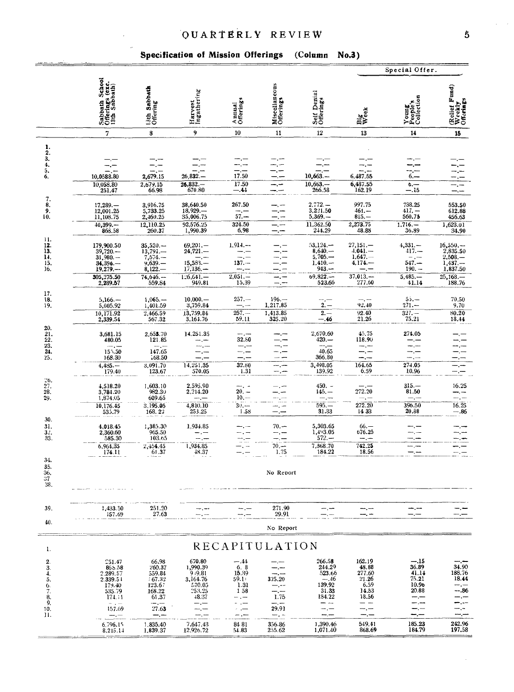## Specification of Mission Offerings (Column No.3)

|                                                                           |                                                                                                  |                                                                                                 |                                                                       |                                                                                  |                                                        |                                                                            |                                                                                   | Special Offer.                                                                   |                                                                        |  |  |  |  |  |
|---------------------------------------------------------------------------|--------------------------------------------------------------------------------------------------|-------------------------------------------------------------------------------------------------|-----------------------------------------------------------------------|----------------------------------------------------------------------------------|--------------------------------------------------------|----------------------------------------------------------------------------|-----------------------------------------------------------------------------------|----------------------------------------------------------------------------------|------------------------------------------------------------------------|--|--|--|--|--|
|                                                                           | Sabbath School<br>Offerings (exc.<br>13th Sabbath)                                               | 13th Sabbath<br>Offering                                                                        | Harvest<br>Ingathering                                                | Annual<br>Offerings                                                              | Miscellaneous<br>Offerings                             | Self Denial<br>Offerings                                                   | Big<br>Week                                                                       | Young<br>People's<br>Collection                                                  | (Relief Fund)<br>Weekly<br>Offerings                                   |  |  |  |  |  |
|                                                                           | 7                                                                                                | 8                                                                                               | 9                                                                     | 10                                                                               | 11                                                     | 12                                                                         | 13                                                                                | 14                                                                               | 15                                                                     |  |  |  |  |  |
| ı.<br>$\frac{2}{3}$<br>4.<br>5.<br>6.                                     | 10,0588.80<br>10,058.80<br>251.47                                                                | 2,679.15<br>2,679.15<br>66.98                                                                   | $26,832. -$<br>$26,832. -$<br>670.80                                  | 17.50<br>17.50<br>$-.44$                                                         | -.-<br>—. —<br>⊸,⊷<br>—, —                             | $10,663-$<br>$10,663-$<br>266.58                                           | 6,487.55<br>6,487.55<br>162.19                                                    | $\overline{6}$ $-$<br>$6 -$<br>-- 15                                             | $-,-$                                                                  |  |  |  |  |  |
| 7.<br>$\frac{8}{9}$<br>10.                                                | $17,289. -$<br>12,001.25<br>11,108.75<br>$40,399. -$<br>866.58                                   | 3,916.75<br>5,733.25<br>2,460.25<br>12,110.25<br>260.37                                         | 38,640.50<br>18,929<br>35,006.75<br>92,576.25<br>1,990.39             | 267.50<br>—.—<br>$57 -$<br>324.50<br>6.98                                        | —.—<br>—.—<br>—.—<br>—.—                               | $2.772 -$<br>3,221.50<br>5,369.<br>11,362.50<br>244.29                     | 997.75<br>$461. -$<br>$815. -$<br>2,273.75<br>48.88                               | 738.25<br>$417. -$<br>560.75<br>$1.716 -$<br>36.89                               | 553.50<br>612.88<br>456.63<br>1,623.01<br>34.90                        |  |  |  |  |  |
| 11.<br>12.<br>13.<br>$\frac{14}{15}$<br>16.                               | 179,900.50<br>$39,720-$<br>$31,980-$<br>$34,396.$ ---<br>19.279<br>305,275.50                    | $35,520,-$<br>13,791.--<br>7,574.--<br>$9,639-$<br>$8,122-$<br>74.646                           | $69,201 -$<br>$24,721-$<br>$15,583-$<br>$17,136-$<br>$1,26,641-$      | $1,914, --$<br>$137 -$<br>$2,051,-$                                              |                                                        | $53,124. -$<br>$8,640,-$<br>$5,705-$<br>$1.410 -$<br>$943. -$<br>$09,822-$ | $27,151-$<br>$4.041-$<br>$1.647 -$<br>4.174.<br>$37,013. -$                       | $4,331. -$<br>$417. -$<br>$-$ . $-$<br>$547 -$<br>$190 -$<br>$5,485-$            | $16,550. -$<br>2,835.50<br>2,508.<br>1,437.<br>1,837.50<br>$25,168-$   |  |  |  |  |  |
| 17.<br>18.<br>19.                                                         | 2,289.57<br>$5,166-$<br>5,005.92                                                                 | 559.84<br>$1,065, -$<br>1,401.59                                                                | 949.81<br>$10,000, -$<br>3,759.84                                     | 15.39<br>$257 -$                                                                 | $196 -$<br>1,217.85                                    | 523.66<br>$2. -$                                                           | 277.60<br>92.40                                                                   | 41.14<br>$55. -$<br>$271 -$                                                      | 188.76<br>70.50<br>9.70                                                |  |  |  |  |  |
| 20.<br>21.<br>$\bar{2}\bar{2}$ .<br>23.<br>24.<br>25.                     | 10,171.92<br>2,339.54<br>3,681.15<br>480.05<br>155.50<br>168.30                                  | 2,466.59<br>567.32<br>2,653.70<br>121.85<br>147.65<br>168.50                                    | 13,759.84<br>3,164.76<br>14.251.35                                    | $257 -$<br>59.11<br>32,80<br>—.—<br>—. —<br>$-,-$                                | 1,413.85<br>325.20                                     | $2 -$<br>-- 46<br>2,670.60<br>$420 -$<br>40.65<br>366.80                   | 92.40<br>21.26<br>45.75<br>118.90                                                 | $327 -$<br>75.21<br>274.05<br>—.—<br>--.---<br>-.—<br>$-$ . $-$                  | 80.20<br>18.44                                                         |  |  |  |  |  |
| 26.                                                                       | $4,485-$<br>179.40                                                                               | 3,091.70<br>123.67                                                                              | 14,251.35<br>570.05                                                   | 32.80<br>1.31                                                                    |                                                        | 3,498.05<br>139.92                                                         | 164.65<br>6.59                                                                    | 274.05<br>10.96                                                                  | –.—<br>$\equiv$ . $\equiv$                                             |  |  |  |  |  |
| 27.<br>28.<br>29.                                                         | 4,518.20<br>3,784.20<br>1,874.05<br>10,176.45<br>535.79                                          | 1.603.10<br>982.30<br>609.65<br>3,195.05<br>168.22                                              | 2,595.90<br>2,214.20<br>4,810.10<br>253.25                            | $20. - 10.$<br>$30 -$<br>1.58                                                    |                                                        | $450. -$<br>$145. -$<br>$595 -$<br>31.33                                   | 272.20<br>272.20<br>1433                                                          | $315-$<br>81.50<br>$-\frac{1}{2}$<br>396.50<br>20.88                             | 16.25<br>—, —<br>$-,-$<br>16.25<br>-.86                                |  |  |  |  |  |
| 30.<br>31.<br>32.<br>33.                                                  | 4,018.45<br>2,360.60<br>585.30                                                                   | 1,385.30<br>965.50<br>103.65                                                                    | 1,934.85                                                              | mm, 110                                                                          | $70. -$                                                | $5,303.65$<br>$1,493.05$<br>$572 -$                                        | $66. -$<br>676.25                                                                 | —.—<br>mm <sub>a</sub> mm                                                        |                                                                        |  |  |  |  |  |
| 34.<br>35.<br>$\frac{36}{37}$                                             | 6,964.35<br>174.11                                                                               | 2,454.45<br>61.37                                                                               | 1,934.85<br>48.37                                                     |                                                                                  | $70 -$<br>1.75<br>No Report                            | 7,368.70<br>184.22                                                         | 742.25<br>18.56                                                                   | --.--                                                                            | $=$ $=$                                                                |  |  |  |  |  |
| 38.                                                                       |                                                                                                  |                                                                                                 |                                                                       |                                                                                  |                                                        |                                                                            |                                                                                   |                                                                                  |                                                                        |  |  |  |  |  |
| 39.<br>40.                                                                | 1,433.50<br>157.69                                                                               | 251.20<br>27.63                                                                                 | --.--                                                                 | $-,-$                                                                            | 271.90<br>29.91                                        | —.⊷                                                                        | ⊷.∽<br>—  —                                                                       | $-,-$<br>—.—                                                                     |                                                                        |  |  |  |  |  |
|                                                                           |                                                                                                  |                                                                                                 |                                                                       |                                                                                  | No Report                                              |                                                                            |                                                                                   |                                                                                  |                                                                        |  |  |  |  |  |
| 1.                                                                        |                                                                                                  |                                                                                                 |                                                                       |                                                                                  | RECAPITULATION                                         |                                                                            |                                                                                   |                                                                                  |                                                                        |  |  |  |  |  |
| $\mathbf{2}$<br>$\frac{3}{4}$<br>5.<br>6.<br>7.<br>8.<br>9.<br>10.<br>11. | 251.47<br>865.58<br>2,289.57<br>2.339.51<br>179.40<br>535.79<br>174.11<br>$ -$<br>157.69<br>---- | 66.98<br>260.37<br>559.84<br>$-57.32$<br>123.67<br>168.22<br>61.37<br>نسان که<br>27.63<br>— . — | 670.80<br>1,990.39<br>9:9.81<br>3,164.76<br>570.05<br>253.25<br>48.37 | $-.44$<br>6, 8<br>15.39<br>59.1+<br>1.31<br>158<br>. —<br>- .--<br>. .—<br>— , — | --<br>325.20<br>—.−-<br>1.75<br>$-,-$<br>29.91<br>—. — | 266.58<br>244.29<br>523.66<br>$-.46$<br>139.92<br>31.33<br>184.22<br>- -   | 162.19<br>48.88<br>277.60<br>21.26<br>6.59<br>14.33<br>18.56<br>- -<br>---<br>—.— | $-.15$<br>36.89<br>41.14<br>75.21<br>10.96<br>20.88<br>---<br>--.--<br>⊷.—<br>-- | 34.90<br>188.76<br>18.44<br>$-$ . $-$<br>-- .86<br>-.—<br>m.,<br>$-,-$ |  |  |  |  |  |
|                                                                           | 6,796.15<br>8,215.14                                                                             | 1,835.40<br>1,839.37                                                                            | 7.647.43<br>12,926.72                                                 | 84 81<br>54.83                                                                   | 356.86<br>255.62                                       | 1,390.46<br>1,071.40                                                       | 549.41<br>868.69                                                                  | 185.23<br>184.79                                                                 | 242.96<br>197.58                                                       |  |  |  |  |  |

 $\hat{\boldsymbol{\lambda}}$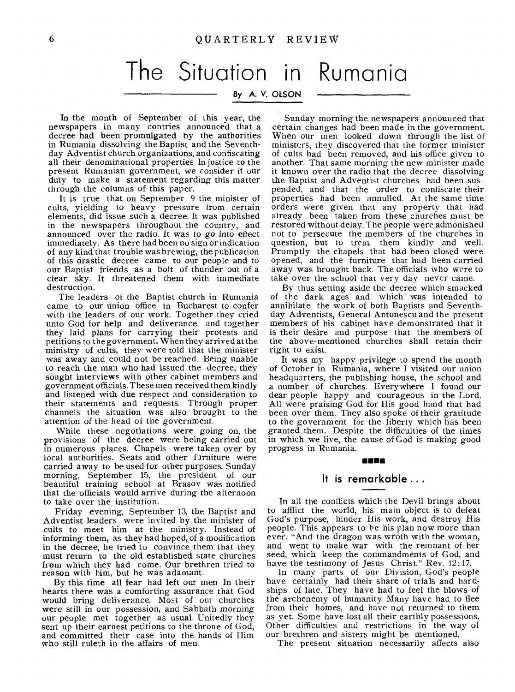# The Situation in Rumania

### By A. V. OLSON

In the month of September of this year, the newspapers in many contries announced that a decree had been promulgated by the authorities in Rumania dissolving the Baptist and the Seventhday Adventist church organizations, and confiscating all their denominational properties. In justice to the present Rumanian government, we consider it our duty to make a statement regarding this matter through the columns of this paper.

It is true that on September 9 the minister of cults, yielding to heavy pressure from certain elements, did issue such a decree. It was published in the newspapers throughout the country, and announced over the radio. It was to go into effect immediately. As there had been no sign or indication of any kind that trouble was brewing, the publication of this drastic decree came to our people and to our Baptist friends as a bolt of thunder out of a clear sky. It threatened them with immediate destruction.

The leaders of the Baptist church in Rumania came to our union office in Bucharest to confer with the leaders of our work. Together they cried unto God for help and deliverance, and together they laid plans for carrying their protests and petitions to the government. When they arrived at the ministry of cults, they were told that the minister was away and could not be reached. Being unable to reach the man who had issued the decree, they sought interviews with other cabinet members and government officials. These men received them kindly and listened with due respect and consideration to their statements and requests. Through proper channels the situation was also brought to the attention of the head of the government.

While these negotiations were going on, the provisions of the decree were being carried out in numerous places. Chapels were taken over by local authorities. Seats and other furniture were carried away to be used for other purposes. Sunday morning, September 15, the president of our beautiful training school at Brasov was notified that the officials would arrive during the afternoon to take over the institution.

Friday evening, September 13, the Baptist and Adventist leaders were invited by the minister of cults to meet him at the ministry. Instead of informing them, as they had hoped, of a modification in the decree, he tried to convince them that they must return to the old established state churches from which they had come. Our brethren tried to reason with him, but he was adamant.

By this time all fear had left our men In their hearts there was a comforting assurance that God would bring deliverance. Most of our churches were still in our possession, and Sabbath morning our people met together as usual. Unitedly they sent up their earnest petitions to the throne of God, and committed their case into the hands of Him who still ruleth in the affairs of men.

Sunday morning the newspapers announced that certain changes had been made in the government. When our men looked down through the list of ministers, they discovered that the former minister of cults had been removed, and his office given to another. That same morning the new minister made it known over the radio that the decree dissolving the Baptist and Adventist churches had been suspended, and that the order to confiscate their properties had been annulled. At the same time orders were given that any property that had already been taken from these churches must be restored without delay. The people were admonished not to persecute the members of the churches in question, but to treat them kindly and well. Promptly the chapels that had been closed were opened, and the furniture that had been carried away was brought back. The officials who were to take over the school that very day never came.

By thus setting aside the decree which smacked of the dark ages and which was intended to annihilate the work of both Baptists and Seventhday Adventists, General Antonescu and the present members of his cabinet have demonstrated that it is their desire and purpose that the members of the above-mentioned churches shall retain their right to exist.

It was my happy privilege to spend the month of October in Rumania, where I visited our union headquarters, the publishing house, the school and a number of churches. Everywhere I found our dear people happy and courageous in the Lord. All were praising God for His good hand that had been over them. They also spoke of their gratitude to the government for the liberty which has been granted them. Despite the difficulties of the times in which we live, the cause of God is making good progress in Rumania.

#### MINIM

#### **It is remarkable ...**

In all the conflicts which the Devil brings about to afflict the world, his main object is to defeat God's purpose, hinder His work, and destroy His people. This appears to be his plan now more than ever. "And the dragon was wroth with the woman, and went to make war with the remnant of her seed, which keep the commandments of God, and have the testimony of Jesus Christ." Rev. 12:17.

In many parts of our Division, God's people have certainly had their share of trials and hardships of late. They have had to feel the blows of the archenemy of humanity. Many have had to flee from their homes, and have not returned to them as yet. Some have lost all their earthly possessions. Other difficulties and restrictions in the way of our brethren and sisters might be mentioned,

The present situation necessarily affects also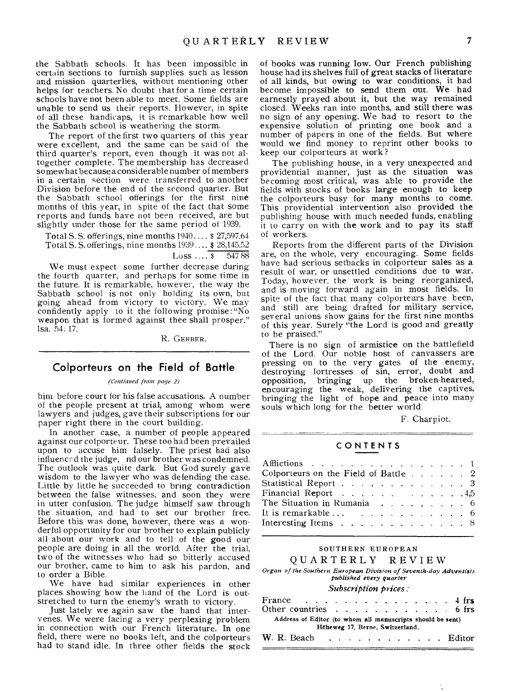the Sabbath schools. It has been impossible in certain sections to furnish supplies such as lesson and mission quarterlies, without mentioning other helps for teachers. No doubt that for a time certain schools have not been able to meet. Some fields are unable to send us their reports. However, in spite of all these handicaps, it is remarkable how well the Sabbath school is weathering the storm.

The report of the first two quarters of this year were excellent, and the same can be said of the third quarter's report, even though it was not altogether complete. The membership has decreased somewhat because a considerable number of members in a certain section were transferred to another Division before the end of the second quarter. But the Sabbath school offerings for the first nine months of this year, in spite of the fact that some reports and funds have not been received, are but slightly under those for the same period of 1939.

Total S. S. offerings, nine months 1940.... \$ 27,597.64 Total S. S. offerings, nine months 1939.... \$ 28,145.52

 $Loss \ldots$   $\overline{\phantom{0}8}$  547 88

We must expect some further decrease during the fourth quarter, and perhaps for some time in the future. It is remarkable, however, the way the Sabbath school is not only holding its own, but going ahead from victory to victory. We may confidently apply to it the following promise:"No weapon that is formed against thee shall prosper." isa. 54. 17.

R. GERBER.

## **Colporteurs on the Field of Battle**

#### *(Continued tram page 2)*

him before court for his false accusations. A number of the people present at trial, among whom were lawyers and judges, gave their subscriptions for our paper right there in the court building.

In another case, a number of people appeared against our colporteur. These too had been prevailed upon to accuse him falsely. The priest had also influenced the judge, nd our brother was condemned. The outlook was quite dark. But God surely gave wisdom to the lawyer who was defending the case. Little by little he succeeded to bring contradiction between the false witnesses, and soon they were in utter confusion. The judge himself saw through the situation, and had to set our brother free. Before this was done, however, there was a wonderful opportunity for our brother to explain publicly all about our work and to tell of the good our people are doing in all the world. After the trial, two of the witnesses who had so bitterly accused our brother, came to him to ask his pardon, and to order a Bible.

We have had similar experiences in other places showing how the hand of the Lord is outstretched to turn the enemy's wrath to victory.

Just lately we again saw the hand that intervenes. We were facing a very perplexing problem in connection with our French literature. In one field, there were no books left, and the colporteurs had to stand idle. In three other fields the stock of books was running low. Our French publishing house had its shelves full of great stacks of literature of all kinds, but owing to war conditions, it had become impossible to send them out. We had earnestly prayed about it, but the way remained closed. Weeks ran into months, and still there was no sign of any opening. We had to resort to the expensive solution of printing one book and a number of papers in one of the fields. But where would we find money to reprint other books to keep our colporteurs at work?

The publishing house, in a very unexpected and providential manner, just as the situation was becoming most critical, was able to provide the fields with stocks of books large enough to keep the colporteurs busy for many months to come. This providential intervention also provided the publishing house with much needed funds, enabling it to carry on with the work and to pay its staff of workers.

Reports from the different parts of the Division are, on the whole, very encouraging. Some fields have had serious setbacks in colporteur sales as a result of war, or unsettled conditions due to war. Today, however, the work is being reorganized, and is moving forward again in most fields. In spite of the fact that many colporteurs have been, and still are being drafted for military service, several unions show gains for the first nine months of this year. Surely "the Lord is good and greatly to be praised."

There is no sign of armistice on the battlefield of the Lord. Our noble host of canvassers are pressing on to the very gates of the enemy, destroying fortresses of sin, error, doubt and opposition, bringing up the broken-hearted, encouraging the weak, delivering the captives, bringing the light of hope and peace into many souls which long for the better world.

F. Charpiot.

#### CONTENTS

| Afflictions 1                                                    |  |  |  |  |
|------------------------------------------------------------------|--|--|--|--|
| Colporteurs on the Field of Battle 2                             |  |  |  |  |
| Statistical Report 3                                             |  |  |  |  |
| Financial Report 4,5                                             |  |  |  |  |
| The Situation in Rumania $\ldots$ , , , , , , 6                  |  |  |  |  |
| It is remarkable $\ldots$ 6                                      |  |  |  |  |
| Interesting Items $\ldots$ $\ldots$ $\ldots$ $\ldots$ $\ldots$ 8 |  |  |  |  |
|                                                                  |  |  |  |  |

#### SOUTHERN EUROPEAN

#### QUARTERLY REVIEW

*Organ of the Southern European Division of Seventh-day Adventists published every* quarter

#### *Subscription prices:*

| France $\ldots$ 4 frs<br>Other countries $\ldots$ $\ldots$ $\ldots$ $\ldots$ $\ldots$ 6 frs |  |  |  |                                 |  |  |  |  |                    |
|---------------------------------------------------------------------------------------------|--|--|--|---------------------------------|--|--|--|--|--------------------|
| Address of Editor (to whom all manuscripts should be sent)                                  |  |  |  | Höheweg 17, Berne, Switzerland. |  |  |  |  |                    |
|                                                                                             |  |  |  |                                 |  |  |  |  | W. R. Beach Editor |